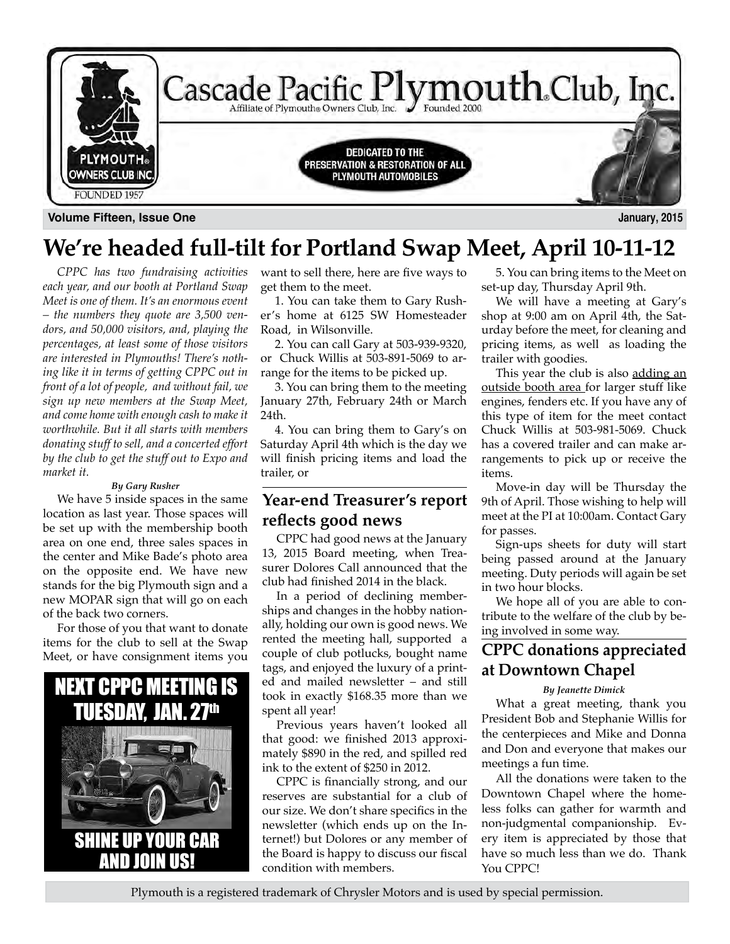

**Volume Fifteen, Issue One January, 2015**

# **We're headed full-tilt for Portland Swap Meet, April 10-11-12**

*CPPC has two fundraising activities each year, and our booth at Portland Swap Meet is one of them. It's an enormous event – the numbers they quote are 3,500 vendors, and 50,000 visitors, and, playing the percentages, at least some of those visitors are interested in Plymouths! There's nothing like it in terms of getting CPPC out in front of a lot of people, and without fail, we sign up new members at the Swap Meet, and come home with enough cash to make it worthwhile. But it all starts with members donating stuff to sell, and a concerted effort by the club to get the stuff out to Expo and market it.* 

#### *By Gary Rusher*

We have 5 inside spaces in the same location as last year. Those spaces will be set up with the membership booth area on one end, three sales spaces in the center and Mike Bade's photo area on the opposite end. We have new stands for the big Plymouth sign and a new MOPAR sign that will go on each of the back two corners.

For those of you that want to donate items for the club to sell at the Swap Meet, or have consignment items you



want to sell there, here are five ways to get them to the meet.

1. You can take them to Gary Rusher's home at 6125 SW Homesteader Road, in Wilsonville.

2. You can call Gary at 503-939-9320, or Chuck Willis at 503-891-5069 to arrange for the items to be picked up.

3. You can bring them to the meeting January 27th, February 24th or March 24th.

4. You can bring them to Gary's on Saturday April 4th which is the day we will finish pricing items and load the trailer, or

## **Year-end Treasurer's report reflects good news**

CPPC had good news at the January 13, 2015 Board meeting, when Treasurer Dolores Call announced that the club had finished 2014 in the black.

In a period of declining memberships and changes in the hobby nationally, holding our own is good news. We rented the meeting hall, supported a couple of club potlucks, bought name tags, and enjoyed the luxury of a printed and mailed newsletter – and still took in exactly \$168.35 more than we spent all year!

Previous years haven't looked all that good: we finished 2013 approximately \$890 in the red, and spilled red ink to the extent of \$250 in 2012.

CPPC is financially strong, and our reserves are substantial for a club of our size. We don't share specifics in the newsletter (which ends up on the Internet!) but Dolores or any member of the Board is happy to discuss our fiscal condition with members.

5. You can bring items to the Meet on set-up day, Thursday April 9th.

We will have a meeting at Gary's shop at 9:00 am on April 4th, the Saturday before the meet, for cleaning and pricing items, as well as loading the trailer with goodies.

This year the club is also adding an outside booth area for larger stuff like engines, fenders etc. If you have any of this type of item for the meet contact Chuck Willis at 503-981-5069. Chuck has a covered trailer and can make arrangements to pick up or receive the items.

Move-in day will be Thursday the 9th of April. Those wishing to help will meet at the PI at 10:00am. Contact Gary for passes.

Sign-ups sheets for duty will start being passed around at the January meeting. Duty periods will again be set in two hour blocks.

We hope all of you are able to contribute to the welfare of the club by being involved in some way.

# **CPPC donations appreciated at Downtown Chapel**

#### *By Jeanette Dimick*

What a great meeting, thank you President Bob and Stephanie Willis for the centerpieces and Mike and Donna and Don and everyone that makes our meetings a fun time.

All the donations were taken to the Downtown Chapel where the homeless folks can gather for warmth and non-judgmental companionship. Every item is appreciated by those that have so much less than we do. Thank Y<sub>OU</sub> CPPC!

Plymouth is a registered trademark of Chrysler Motors and is used by special permission.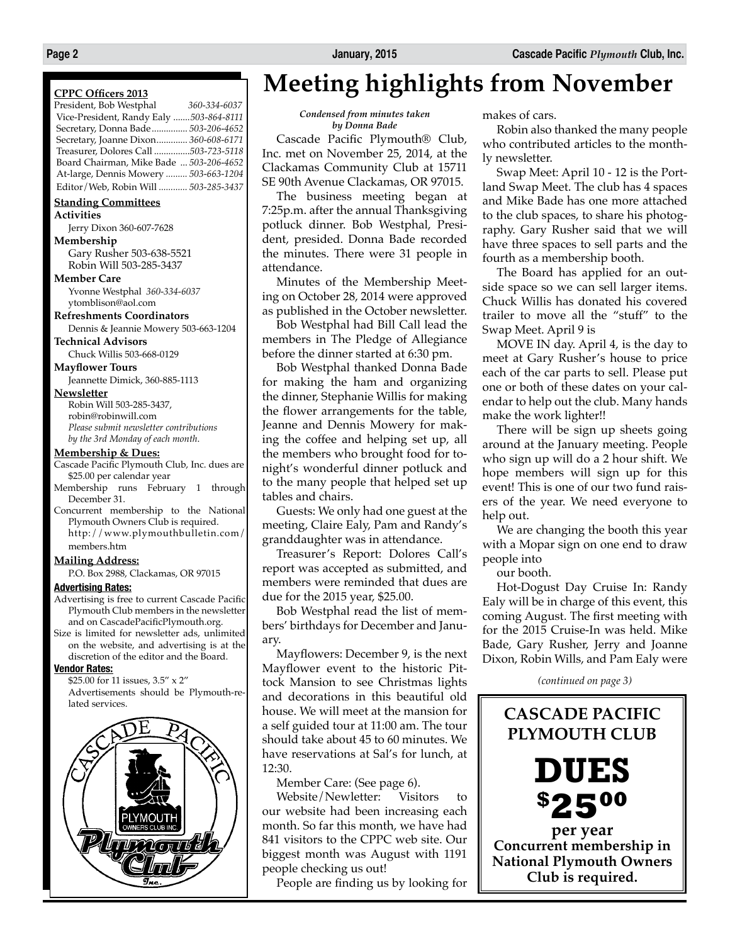#### **CPPC Officers 2013**

| President, Bob Westphal                 | 360-334-6037 |
|-----------------------------------------|--------------|
| Vice-President, Randy Ealy 503-864-8111 |              |
| Secretary, Donna Bade 503-206-4652      |              |
| Secretary, Joanne Dixon 360-608-6171    |              |
| Treasurer, Dolores Call 503-723-5118    |              |
| Board Chairman, Mike Bade  503-206-4652 |              |
| At-large, Dennis Mowery  503-663-1204   |              |
| Editor / Web, Robin Will  503-285-3437  |              |

#### **Standing Committees**

**Activities**

Jerry Dixon 360-607-7628 **Membership**

Gary Rusher 503-638-5521 Robin Will 503-285-3437

**Member Care**

Yvonne Westphal *360-334-6037* ytomblison@aol.com

**Refreshments Coordinators**

Dennis & Jeannie Mowery 503-663-1204

**Technical Advisors**

Chuck Willis 503-668-0129 **Mayflower Tours**

Jeannette Dimick, 360-885-1113

**Newsletter**

Robin Will 503-285-3437, robin@robinwill.com *Please submit newsletter contributions by the 3rd Monday of each month*.

#### **Membership & Dues:**

- Cascade Pacific Plymouth Club, Inc. dues are \$25.00 per calendar year
- Membership runs February 1 through December 31.
- Concurrent membership to the National Plymouth Owners Club is required. http://www.plymouthbulletin.com/ members.htm

#### **Mailing Address:**

P.O. Box 2988, Clackamas, OR 97015

#### **Advertising Rates:**

- Advertising is free to current Cascade Pacific Plymouth Club members in the newsletter and on CascadePacificPlymouth.org.
- Size is limited for newsletter ads, unlimited on the website, and advertising is at the discretion of the editor and the Board.

#### **Vendor Rates:**

\$25.00 for 11 issues, 3.5" x 2" Advertisements should be Plymouth-related services.



# **Meeting highlights from November**

#### *Condensed from minutes taken by Donna Bade*

Cascade Pacific Plymouth® Club, Inc. met on November 25, 2014, at the Clackamas Community Club at 15711 SE 90th Avenue Clackamas, OR 97015.

The business meeting began at 7:25p.m. after the annual Thanksgiving potluck dinner. Bob Westphal, President, presided. Donna Bade recorded the minutes. There were 31 people in attendance.

Minutes of the Membership Meeting on October 28, 2014 were approved as published in the October newsletter.

Bob Westphal had Bill Call lead the members in The Pledge of Allegiance before the dinner started at 6:30 pm.

Bob Westphal thanked Donna Bade for making the ham and organizing the dinner, Stephanie Willis for making the flower arrangements for the table, Jeanne and Dennis Mowery for making the coffee and helping set up, all the members who brought food for tonight's wonderful dinner potluck and to the many people that helped set up tables and chairs.

Guests: We only had one guest at the meeting, Claire Ealy, Pam and Randy's granddaughter was in attendance.

Treasurer's Report: Dolores Call's report was accepted as submitted, and members were reminded that dues are due for the 2015 year, \$25.00.

Bob Westphal read the list of members' birthdays for December and January.

Mayflowers: December 9, is the next Mayflower event to the historic Pittock Mansion to see Christmas lights and decorations in this beautiful old house. We will meet at the mansion for a self guided tour at 11:00 am. The tour should take about 45 to 60 minutes. We have reservations at Sal's for lunch, at 12:30.

Member Care: (See page 6).

Website/Newletter: Visitors to our website had been increasing each month. So far this month, we have had 841 visitors to the CPPC web site. Our biggest month was August with 1191 people checking us out!

People are finding us by looking for

makes of cars.

Robin also thanked the many people who contributed articles to the monthly newsletter.

Swap Meet: April 10 - 12 is the Portland Swap Meet. The club has 4 spaces and Mike Bade has one more attached to the club spaces, to share his photography. Gary Rusher said that we will have three spaces to sell parts and the fourth as a membership booth.

The Board has applied for an outside space so we can sell larger items. Chuck Willis has donated his covered trailer to move all the "stuff" to the Swap Meet. April 9 is

MOVE IN day. April 4, is the day to meet at Gary Rusher's house to price each of the car parts to sell. Please put one or both of these dates on your calendar to help out the club. Many hands make the work lighter!!

There will be sign up sheets going around at the January meeting. People who sign up will do a 2 hour shift. We hope members will sign up for this event! This is one of our two fund raisers of the year. We need everyone to help out.

We are changing the booth this year with a Mopar sign on one end to draw people into

our booth.

Hot-Dogust Day Cruise In: Randy Ealy will be in charge of this event, this coming August. The first meeting with for the 2015 Cruise-In was held. Mike Bade, Gary Rusher, Jerry and Joanne Dixon, Robin Wills, and Pam Ealy were

*(continued on page 3)*

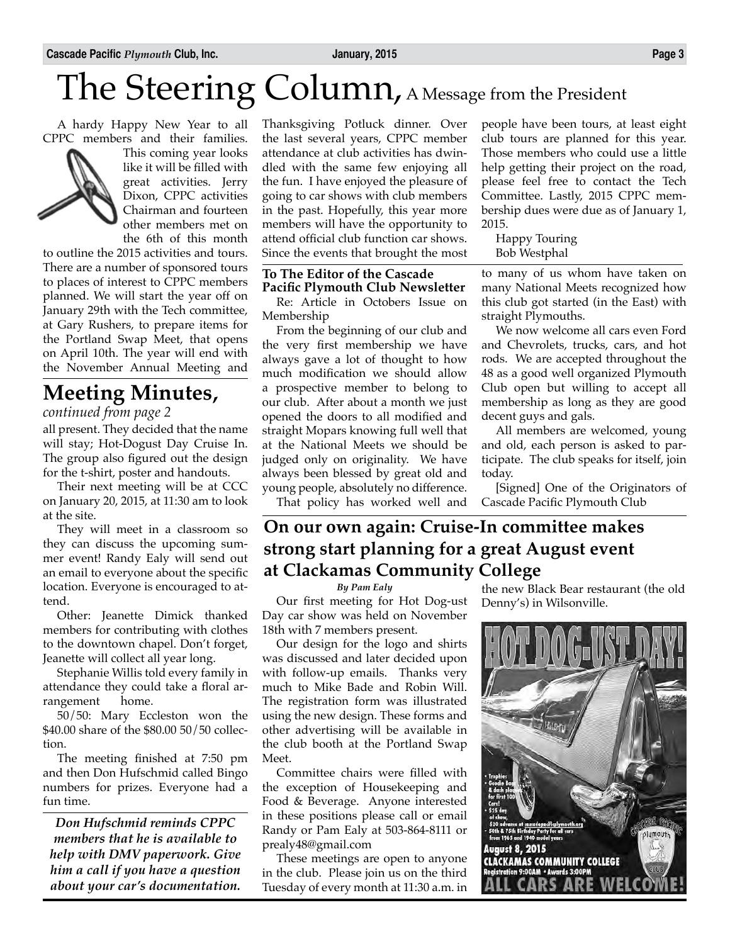# The Steering Column, A Message from the President

A hardy Happy New Year to all CPPC members and their families.



This coming year looks like it will be filled with great activities. Jerry Dixon, CPPC activities Chairman and fourteen other members met on the 6th of this month

to outline the 2015 activities and tours. There are a number of sponsored tours to places of interest to CPPC members planned. We will start the year off on January 29th with the Tech committee, at Gary Rushers, to prepare items for the Portland Swap Meet, that opens on April 10th. The year will end with the November Annual Meeting and

# **Meeting Minutes,**

*continued from page 2*

all present. They decided that the name will stay; Hot-Dogust Day Cruise In. The group also figured out the design for the t-shirt, poster and handouts.

Their next meeting will be at CCC on January 20, 2015, at 11:30 am to look at the site.

They will meet in a classroom so they can discuss the upcoming summer event! Randy Ealy will send out an email to everyone about the specific location. Everyone is encouraged to attend.

Other: Jeanette Dimick thanked members for contributing with clothes to the downtown chapel. Don't forget, Jeanette will collect all year long.

Stephanie Willis told every family in attendance they could take a floral arrangement home.

50/50: Mary Eccleston won the \$40.00 share of the \$80.00 50/50 collection.

The meeting finished at 7:50 pm and then Don Hufschmid called Bingo numbers for prizes. Everyone had a fun time.

*Don Hufschmid reminds CPPC members that he is available to help with DMV paperwork. Give him a call if you have a question about your car's documentation.*

Thanksgiving Potluck dinner. Over the last several years, CPPC member attendance at club activities has dwindled with the same few enjoying all the fun. I have enjoyed the pleasure of going to car shows with club members in the past. Hopefully, this year more members will have the opportunity to attend official club function car shows. Since the events that brought the most

#### **To The Editor of the Cascade Pacific Plymouth Club Newsletter**

Re: Article in Octobers Issue on Membership

From the beginning of our club and the very first membership we have always gave a lot of thought to how much modification we should allow a prospective member to belong to our club. After about a month we just opened the doors to all modified and straight Mopars knowing full well that at the National Meets we should be judged only on originality. We have always been blessed by great old and young people, absolutely no difference.

That policy has worked well and

people have been tours, at least eight club tours are planned for this year. Those members who could use a little help getting their project on the road, please feel free to contact the Tech Committee. Lastly, 2015 CPPC membership dues were due as of January 1, 2015.

Happy Touring Bob Westphal

to many of us whom have taken on many National Meets recognized how this club got started (in the East) with straight Plymouths.

We now welcome all cars even Ford and Chevrolets, trucks, cars, and hot rods. We are accepted throughout the 48 as a good well organized Plymouth Club open but willing to accept all membership as long as they are good decent guys and gals.

All members are welcomed, young and old, each person is asked to participate. The club speaks for itself, join today.

[Signed] One of the Originators of Cascade Pacific Plymouth Club

# **On our own again: Cruise-In committee makes strong start planning for a great August event at Clackamas Community College**

*By Pam Ealy*

Our first meeting for Hot Dog-ust Day car show was held on November 18th with 7 members present.

Our design for the logo and shirts was discussed and later decided upon with follow-up emails. Thanks very much to Mike Bade and Robin Will. The registration form was illustrated using the new design. These forms and other advertising will be available in the club booth at the Portland Swap Meet.

Committee chairs were filled with the exception of Housekeeping and Food & Beverage. Anyone interested in these positions please call or email Randy or Pam Ealy at 503-864-8111 or prealy48@gmail.com

These meetings are open to anyone in the club. Please join us on the third Tuesday of every month at 11:30 a.m. in the new Black Bear restaurant (the old Denny's) in Wilsonville.

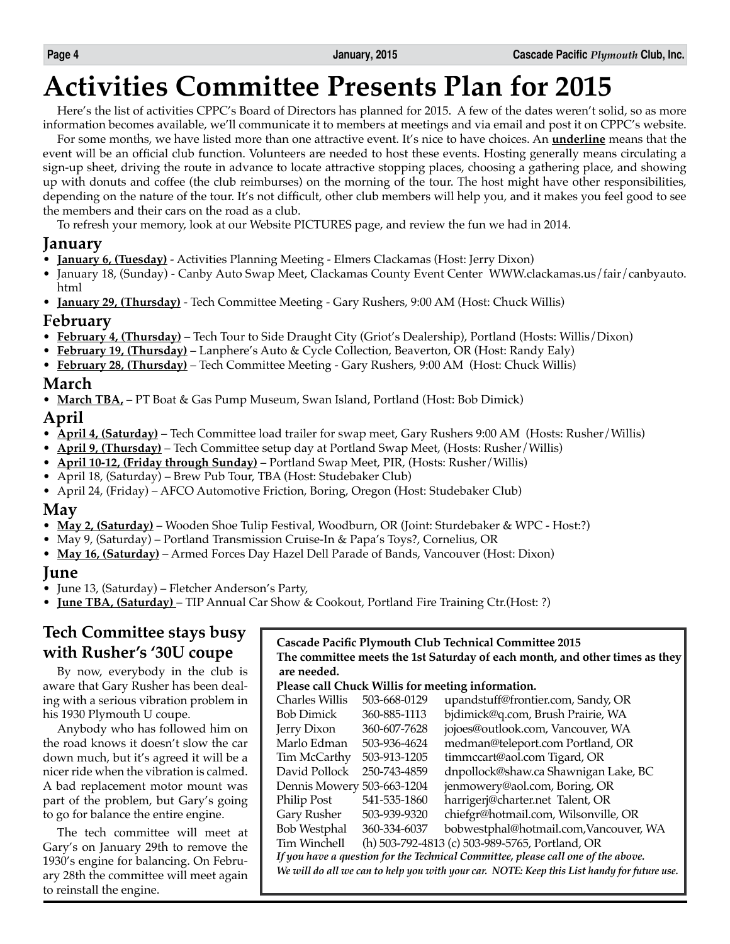# **Activities Committee Presents Plan for 2015**

Here's the list of activities CPPC's Board of Directors has planned for 2015. A few of the dates weren't solid, so as more information becomes available, we'll communicate it to members at meetings and via email and post it on CPPC's website.

For some months, we have listed more than one attractive event. It's nice to have choices. An **underline** means that the event will be an official club function. Volunteers are needed to host these events. Hosting generally means circulating a sign-up sheet, driving the route in advance to locate attractive stopping places, choosing a gathering place, and showing up with donuts and coffee (the club reimburses) on the morning of the tour. The host might have other responsibilities, depending on the nature of the tour. It's not difficult, other club members will help you, and it makes you feel good to see the members and their cars on the road as a club.

To refresh your memory, look at our Website PICTURES page, and review the fun we had in 2014.

### **January**

- **January 6, (Tuesday)** Activities Planning Meeting Elmers Clackamas (Host: Jerry Dixon)
- January 18, (Sunday) Canby Auto Swap Meet, Clackamas County Event Center WWW.clackamas.us/fair/canbyauto. html
- **January 29, (Thursday)** Tech Committee Meeting Gary Rushers, 9:00 AM (Host: Chuck Willis)

### **February**

- **February 4, (Thursday)** Tech Tour to Side Draught City (Griot's Dealership), Portland (Hosts: Willis/Dixon)
- **February 19, (Thursday)** Lanphere's Auto & Cycle Collection, Beaverton, OR (Host: Randy Ealy)
- **February 28, (Thursday)** Tech Committee Meeting Gary Rushers, 9:00 AM (Host: Chuck Willis)

## **March**

• **March TBA,** – PT Boat & Gas Pump Museum, Swan Island, Portland (Host: Bob Dimick)

### **April**

- **April 4, (Saturday)** Tech Committee load trailer for swap meet, Gary Rushers 9:00 AM (Hosts: Rusher/Willis)
- **April 9, (Thursday)** Tech Committee setup day at Portland Swap Meet, (Hosts: Rusher/Willis)
- **April 10-12, (Friday through Sunday)** Portland Swap Meet, PIR, (Hosts: Rusher/Willis)
- April 18, (Saturday) Brew Pub Tour, TBA (Host: Studebaker Club)
- April 24, (Friday) AFCO Automotive Friction, Boring, Oregon (Host: Studebaker Club)

### **May**

- **May 2, (Saturday)** Wooden Shoe Tulip Festival, Woodburn, OR (Joint: Sturdebaker & WPC Host:?)
- May 9, (Saturday) Portland Transmission Cruise-In & Papa's Toys?, Cornelius, OR
- **May 16, (Saturday)** Armed Forces Day Hazel Dell Parade of Bands, Vancouver (Host: Dixon)

### **June**

- June 13, (Saturday) Fletcher Anderson's Party,
- **June TBA, (Saturday)** TIP Annual Car Show & Cookout, Portland Fire Training Ctr.(Host: ?)

# **Tech Committee stays busy with Rusher's '30U coupe**

By now, everybody in the club is aware that Gary Rusher has been dealing with a serious vibration problem in his 1930 Plymouth U coupe.

Anybody who has followed him on the road knows it doesn't slow the car down much, but it's agreed it will be a nicer ride when the vibration is calmed. A bad replacement motor mount was part of the problem, but Gary's going to go for balance the entire engine.

The tech committee will meet at Gary's on January 29th to remove the 1930's engine for balancing. On February 28th the committee will meet again to reinstall the engine.

| Cascade Pacific Plymouth Club Technical Committee 2015<br>The committee meets the 1st Saturday of each month, and other times as they<br>are needed. |              |                                                                                             |
|------------------------------------------------------------------------------------------------------------------------------------------------------|--------------|---------------------------------------------------------------------------------------------|
|                                                                                                                                                      |              | Please call Chuck Willis for meeting information.                                           |
| Charles Willis                                                                                                                                       | 503-668-0129 | upandstuff@frontier.com, Sandy, OR                                                          |
| <b>Bob Dimick</b>                                                                                                                                    | 360-885-1113 | bjdimick@q.com, Brush Prairie, WA                                                           |
| Jerry Dixon                                                                                                                                          | 360-607-7628 | jojoes@outlook.com, Vancouver, WA                                                           |
| Marlo Edman                                                                                                                                          | 503-936-4624 | medman@teleport.com Portland, OR                                                            |
| Tim McCarthy                                                                                                                                         | 503-913-1205 | timmccart@aol.com Tigard, OR                                                                |
| David Pollock                                                                                                                                        | 250-743-4859 | dnpollock@shaw.ca Shawnigan Lake, BC                                                        |
| Dennis Mowery 503-663-1204                                                                                                                           |              | jenmowery@aol.com, Boring, OR                                                               |
| Philip Post                                                                                                                                          | 541-535-1860 | harrigerj@charter.net Talent, OR                                                            |
| Gary Rusher                                                                                                                                          | 503-939-9320 | chiefgr@hotmail.com, Wilsonville, OR                                                        |
| <b>Bob Westphal</b>                                                                                                                                  | 360-334-6037 | bobwestphal@hotmail.com,Vancouver, WA                                                       |
| Tim Winchell                                                                                                                                         |              | (h) 503-792-4813 (c) 503-989-5765, Portland, OR                                             |
|                                                                                                                                                      |              | If you have a question for the Technical Committee, please call one of the above.           |
|                                                                                                                                                      |              | We will do all we can to help you with your car. NOTE: Keep this List handy for future use. |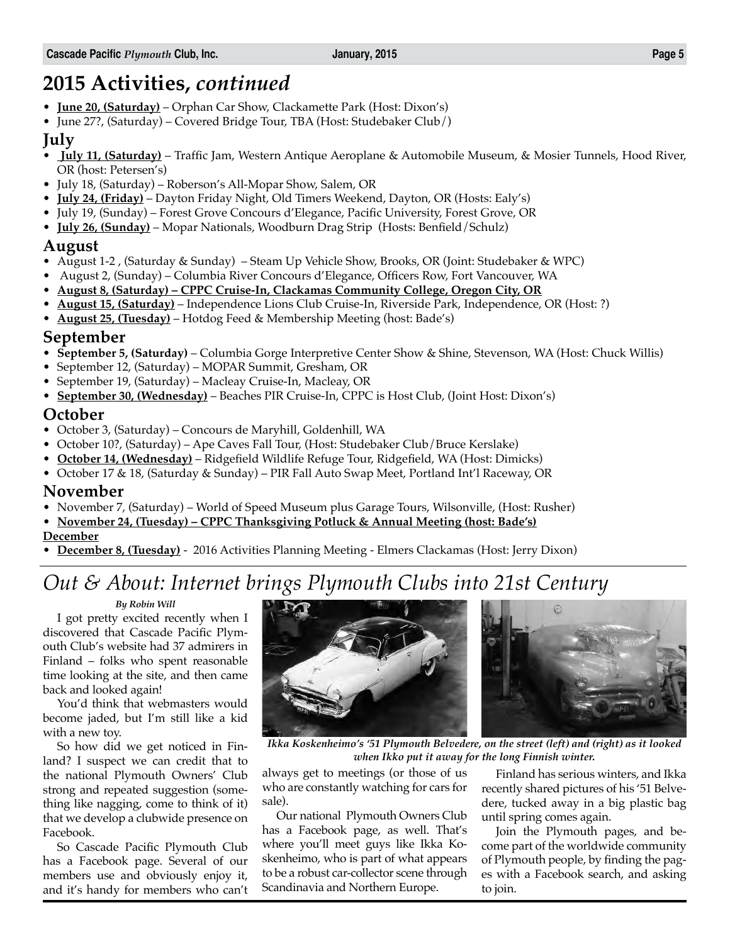# **2015 Activities,** *continued*

- **June 20, (Saturday)** Orphan Car Show, Clackamette Park (Host: Dixon's)
- June 27?, (Saturday) Covered Bridge Tour, TBA (Host: Studebaker Club/)

### **July**

- • **July 11, (Saturday)** Traffic Jam, Western Antique Aeroplane & Automobile Museum, & Mosier Tunnels, Hood River, OR (host: Petersen's)
- July 18, (Saturday) Roberson's All-Mopar Show, Salem, OR
- **July 24, (Friday)** Dayton Friday Night, Old Timers Weekend, Dayton, OR (Hosts: Ealy's)
- July 19, (Sunday) Forest Grove Concours d'Elegance, Pacific University, Forest Grove, OR
- **July 26, (Sunday)** Mopar Nationals, Woodburn Drag Strip (Hosts: Benfield/Schulz)

## **August**

- August 1-2 , (Saturday & Sunday) Steam Up Vehicle Show, Brooks, OR (Joint: Studebaker & WPC)
- August 2, (Sunday) Columbia River Concours d'Elegance, Officers Row, Fort Vancouver, WA
- **August 8, (Saturday) CPPC Cruise-In, Clackamas Community College, Oregon City, OR**
- **August 15, (Saturday)** Independence Lions Club Cruise-In, Riverside Park, Independence, OR (Host: ?)
- **August 25, (Tuesday)** Hotdog Feed & Membership Meeting (host: Bade's)

### **September**

- **September 5, (Saturday)** Columbia Gorge Interpretive Center Show & Shine, Stevenson, WA (Host: Chuck Willis)
- September 12, (Saturday) MOPAR Summit, Gresham, OR
- September 19, (Saturday) Macleay Cruise-In, Macleay, OR
- **September 30, (Wednesday)** Beaches PIR Cruise-In, CPPC is Host Club, (Joint Host: Dixon's)

### **October**

- October 3, (Saturday) Concours de Maryhill, Goldenhill, WA
- October 10?, (Saturday) Ape Caves Fall Tour, (Host: Studebaker Club/Bruce Kerslake)
- **October 14, (Wednesday)** Ridgefield Wildlife Refuge Tour, Ridgefield, WA (Host: Dimicks)
- October 17 & 18, (Saturday & Sunday) PIR Fall Auto Swap Meet, Portland Int'l Raceway, OR

### **November**

- November 7, (Saturday) World of Speed Museum plus Garage Tours, Wilsonville, (Host: Rusher)
- **November 24, (Tuesday) – CPPC Thanksgiving Potluck & Annual Meeting (host: Bade's)**

### **December**

• **December 8, (Tuesday)** - 2016 Activities Planning Meeting - Elmers Clackamas (Host: Jerry Dixon)

# *Out & About: Internet brings Plymouth Clubs into 21st Century*

### *By Robin Will*

I got pretty excited recently when I discovered that Cascade Pacific Plymouth Club's website had 37 admirers in Finland – folks who spent reasonable time looking at the site, and then came back and looked again!

You'd think that webmasters would become jaded, but I'm still like a kid with a new toy.

So how did we get noticed in Finland? I suspect we can credit that to the national Plymouth Owners' Club strong and repeated suggestion (something like nagging, come to think of it) that we develop a clubwide presence on Facebook.

So Cascade Pacific Plymouth Club has a Facebook page. Several of our members use and obviously enjoy it, and it's handy for members who can't





*Ikka Koskenheimo's '51 Plymouth Belvedere, on the street (left) and (right) as it looked when Ikko put it away for the long Finnish winter.*

always get to meetings (or those of us who are constantly watching for cars for sale).

Our national Plymouth Owners Club has a Facebook page, as well. That's where you'll meet guys like Ikka Koskenheimo, who is part of what appears to be a robust car-collector scene through Scandinavia and Northern Europe.

Finland has serious winters, and Ikka recently shared pictures of his '51 Belvedere, tucked away in a big plastic bag until spring comes again.

Join the Plymouth pages, and become part of the worldwide community of Plymouth people, by finding the pages with a Facebook search, and asking to join.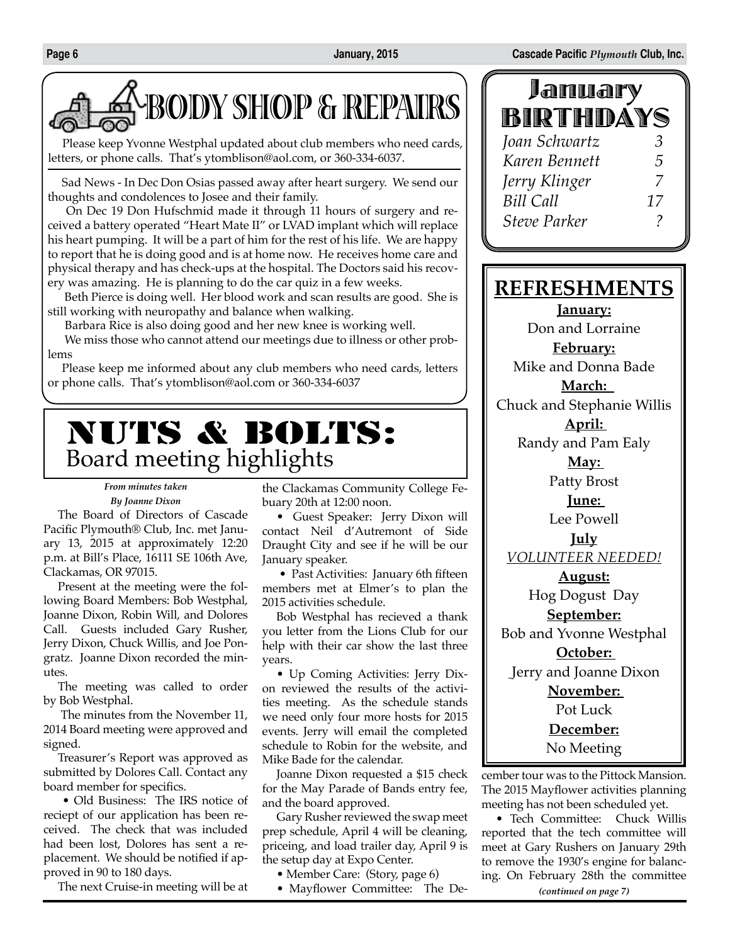

Please keep Yvonne Westphal updated about club members who need cards, letters, or phone calls. That's ytomblison@aol.com, or 360-334-6037.

Sad News - In Dec Don Osias passed away after heart surgery. We send our thoughts and condolences to Josee and their family.

 On Dec 19 Don Hufschmid made it through 11 hours of surgery and received a battery operated "Heart Mate II" or LVAD implant which will replace his heart pumping. It will be a part of him for the rest of his life. We are happy to report that he is doing good and is at home now. He receives home care and physical therapy and has check-ups at the hospital. The Doctors said his recovery was amazing. He is planning to do the car quiz in a few weeks.

 Beth Pierce is doing well. Her blood work and scan results are good. She is still working with neuropathy and balance when walking.

Barbara Rice is also doing good and her new knee is working well.

 We miss those who cannot attend our meetings due to illness or other problems

Please keep me informed about any club members who need cards, letters or phone calls. That's ytomblison@aol.com or 360-334-6037

# NUTS & BOLTS: Board meeting highlights

#### *From minutes taken By Joanne Dixon*

The Board of Directors of Cascade Pacific Plymouth® Club, Inc. met January 13, 2015 at approximately 12:20 p.m. at Bill's Place, 16111 SE 106th Ave, Clackamas, OR 97015.

Present at the meeting were the following Board Members: Bob Westphal, Joanne Dixon, Robin Will, and Dolores Call. Guests included Gary Rusher, Jerry Dixon, Chuck Willis, and Joe Pongratz. Joanne Dixon recorded the minutes.

The meeting was called to order by Bob Westphal.

 The minutes from the November 11, 2014 Board meeting were approved and signed.

Treasurer's Report was approved as submitted by Dolores Call. Contact any board member for specifics.

 • Old Business: The IRS notice of reciept of our application has been received. The check that was included had been lost, Dolores has sent a replacement. We should be notified if approved in 90 to 180 days.

The next Cruise-in meeting will be at

the Clackamas Community College Febuary 20th at 12:00 noon.

• Guest Speaker: Jerry Dixon will contact Neil d'Autremont of Side Draught City and see if he will be our January speaker.

 • Past Activities: January 6th fifteen members met at Elmer's to plan the 2015 activities schedule.

Bob Westphal has recieved a thank you letter from the Lions Club for our help with their car show the last three years.

• Up Coming Activities: Jerry Dixon reviewed the results of the activities meeting. As the schedule stands we need only four more hosts for 2015 events. Jerry will email the completed schedule to Robin for the website, and Mike Bade for the calendar.

Joanne Dixon requested a \$15 check for the May Parade of Bands entry fee, and the board approved.

Gary Rusher reviewed the swap meet prep schedule, April 4 will be cleaning, priceing, and load trailer day, April 9 is the setup day at Expo Center.

- Member Care: (Story, page 6)
- Mayflower Committee: The De-

| January             |    |  |
|---------------------|----|--|
| BIRTHDAYS           |    |  |
| Joan Schwartz       | 3  |  |
| Karen Bennett       | 5  |  |
| Jerry Klinger       | 7  |  |
| <b>Bill Call</b>    | 17 |  |
| <b>Steve Parker</b> |    |  |

# **REFRESHMENTS**

**January:**

Don and Lorraine

**February:**

Mike and Donna Bade

**March:**  Chuck and Stephanie Willis

> **April:**  Randy and Pam Ealy

**May:** 

Patty Brost

**June:** 

Lee Powell

**July** *VOLUNTEER NEEDED!*

**August:** Hog Dogust Day **September:** Bob and Yvonne Westphal **October:**  Jerry and Joanne Dixon **November:**  Pot Luck **December:**

No Meeting

cember tour was to the Pittock Mansion. The 2015 Mayflower activities planning meeting has not been scheduled yet.

*(continued on page 7)* • Tech Committee: Chuck Willis reported that the tech committee will meet at Gary Rushers on January 29th to remove the 1930's engine for balancing. On February 28th the committee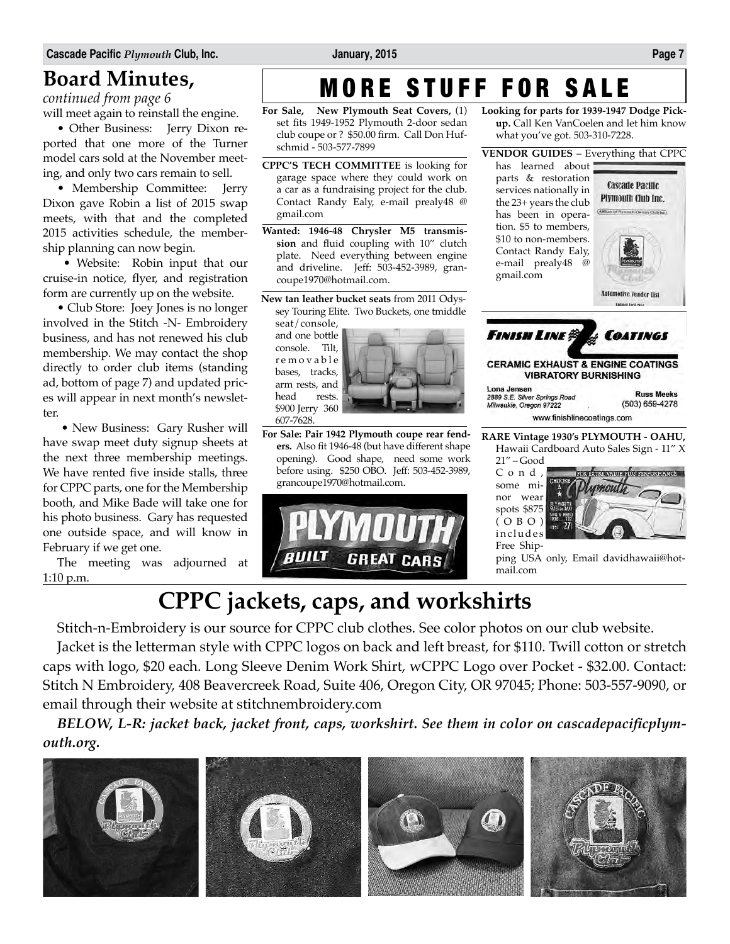# **Board Minutes,**

*continued from page 6*

will meet again to reinstall the engine.

• Other Business: Jerry Dixon reported that one more of the Turner model cars sold at the November meeting, and only two cars remain to sell.

• Membership Committee: Jerry Dixon gave Robin a list of 2015 swap meets, with that and the completed 2015 activities schedule, the membership planning can now begin.

 • Website: Robin input that our cruise-in notice, flyer, and registration form are currently up on the website.

• Club Store: Joey Jones is no longer involved in the Stitch -N- Embroidery business, and has not renewed his club membership. We may contact the shop directly to order club items (standing ad, bottom of page 7) and updated prices will appear in next month's newsletter.

 • New Business: Gary Rusher will have swap meet duty signup sheets at the next three membership meetings. We have rented five inside stalls, three for CPPC parts, one for the Membership booth, and Mike Bade will take one for his photo business. Gary has requested one outside space, and will know in February if we get one.

The meeting was adjourned at 1:10 p.m.

# MORE STUFF FOR SALE **Looking for parts for 1939-1947 Dodge Pick-**

**For Sale, New Plymouth Seat Covers,** (1) set fits 1949-1952 Plymouth 2-door sedan club coupe or ? \$50.00 firm. Call Don Hufschmid - 503-577-7899

**CPPC'S TECH COMMITTEE** is looking for garage space where they could work on a car as a fundraising project for the club. Contact Randy Ealy, e-mail prealy48 @ gmail.com

- **Wanted: 1946-48 Chrysler M5 transmission** and fluid coupling with 10" clutch plate. Need everything between engine and driveline. Jeff: 503-452-3989, grancoupe1970@hotmail.com.
- **New tan leather bucket seats** from 2011 Odyssey Touring Elite. Two Buckets, one tmiddle

seat/console, and one bottle console. Tilt, r e m o v a b l e bases, tracks, arm rests, and head rests. \$900 Jerry 360 607-7628.



**For Sale: Pair 1942 Plymouth coupe rear fenders.** Also fit 1946-48 (but have different shape opening). Good shape, need some work before using. \$250 OBO. Jeff: 503-452-3989, grancoupe1970@hotmail.com.





**up.** Call Ken VanCoelen and let him know

**Cascade Pacific** Plymouth Club Inc. ARBiste of Plymouth Owners Club be

**VENDOR GUIDES** – Everything that CPPC

what you've got. 503-310-7228.

has learned about parts & restoration services nationally in the 23+ years the club has been in opera-

**RARE Vintage 1930's PLYMOUTH - OAHU,**  Hawaii Cardboard Auto Sales Sign - 11" X

21" – Good C o n d , some minor wear spots \$875 ( O B O ) includes Free Ship-



ping USA only, Email davidhawaii@hotmail.com

# **CPPC jackets, caps, and workshirts**

Stitch-n-Embroidery is our source for CPPC club clothes. See color photos on our club website.

Jacket is the letterman style with CPPC logos on back and left breast, for \$110. Twill cotton or stretch caps with logo, \$20 each. Long Sleeve Denim Work Shirt, wCPPC Logo over Pocket - \$32.00. Contact: Stitch N Embroidery, 408 Beavercreek Road, Suite 406, Oregon City, OR 97045; Phone: 503-557-9090, or email through their website at stitchnembroidery.com

*BELOW, L-R: jacket back, jacket front, caps, workshirt. See them in color on cascadepacificplymouth.org.*